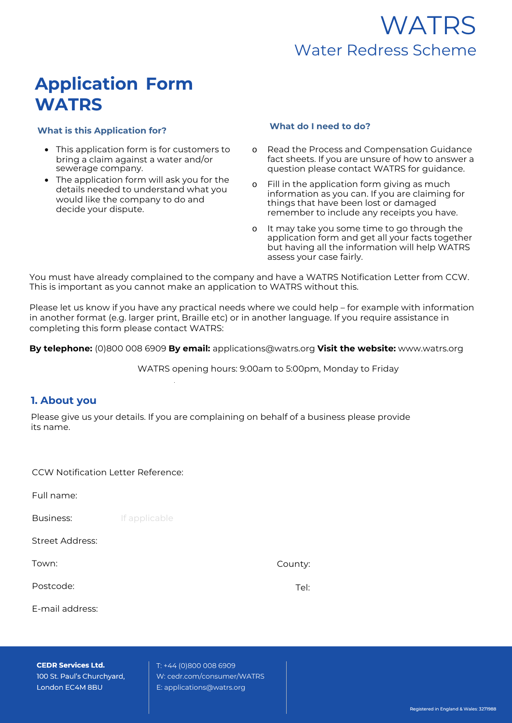# **Application Form WATRS**

# **What is this Application for? What do I need to do?**

- This application form is for customers to bring a claim against a water and/or sewerage company.
- The application form will ask you for the details needed to understand what you would like the company to do and decide your dispute.

- o Read the Process and Compensation Guidance fact sheets. If you are unsure of how to answer a question please contact WATRS for guidance.
- o Fill in the application form giving as much information as you can. If you are claiming for things that have been lost or damaged remember to include any receipts you have.
- It may take you some time to go through the application form and get all your facts together but having all the information will help WATRS assess your case fairly.

You must have already complained to the company and have a WATRS Notification Letter from CCW. This is important as you cannot make an application to WATRS without this.

Please let us know if you have any practical needs where we could help – for example with information in another format (e.g. larger print, Braille etc) or in another language. If you require assistance in completing this form please contact WATRS:

**By telephone:** (0)800 008 6909 **By email:** applications@watrs.org **Visit the website:** www.watrs.org

WATRS opening hours: 9:00am to 5:00pm, Monday to Friday

# **1. About you**

Please give us your details. If you are complaining on behalf of a business please provide its name.

CCW Notification Letter Reference:

Full name:

**Business:** If applicable

Street Address:

Town:

Postcode:

County:

Tel:

E-mail address:

**CEDR Services Ltd.** 100 St. Paul's Churchyard, London EC4M 8BU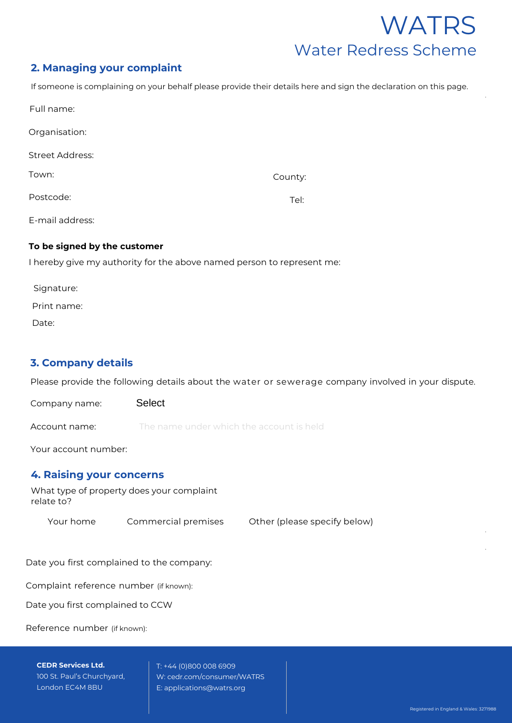# **2. Managing your complaint**

| If someone is complaining on your behalf please provide their details here and sign the declaration on this page. |  |  |
|-------------------------------------------------------------------------------------------------------------------|--|--|
|-------------------------------------------------------------------------------------------------------------------|--|--|

| County: |  |
|---------|--|
| Tel:    |  |
|         |  |
|         |  |

#### **To be signed by the customer**

I hereby give my authority for the above named person to represent me:

| Signature:  |  |
|-------------|--|
| Print name: |  |
| Date:       |  |

# **3. Company details**

Please provide the following details about the water or sewerage company involved in your dispute.

Company name:

**Account name:** The name under which the account is held

Your account number:

### **4. Raising your concerns**

What type of property does your complaint relate to?

Your home Commercial premises Other (please specify below)

Date you first complained to the company:

Complaint reference number (if known):

Date you first complained to CCW

Reference number (if known):

#### **CEDR Services Ltd.**

100 St. Paul's Churchyard, London EC4M 8BU

T: +44 (0)800 008 6909 W: cedr.com/consumer/WATRS E: applications@watrs.org Registered in England & Wales: 3271988 Select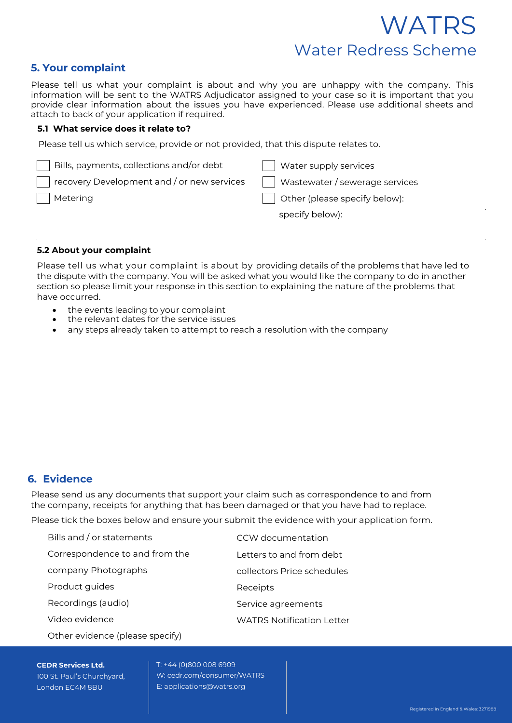# **5. Your complaint**

Please tell us what your complaint is about and why you are unhappy with the company. This information will be sent to the WATRS Adjudicator assigned to your case so it is important that you provide clear information about the issues you have experienced. Please use additional sheets and attach to back of your application if required.

#### **5.1 What service does it relate to?**

Please tell us which service, provide or not provided, that this dispute relates to.

| Bills, payments, collections and/or debt   | Water supply services          |
|--------------------------------------------|--------------------------------|
| recovery Development and / or new services | Wastewater / sewerage services |
| Metering                                   | Other (please specify below):  |
|                                            | specify below):                |

### **5.2 About your complaint**

Please tell us what your complaint is about by providing details of the problems that have led to the dispute with the company. You will be asked what you would like the company to do in another section so please limit your response in this section to explaining the nature of the problems that have occurred.

- the events leading to your complaint
- the relevant dates for the service issues
- any steps already taken to attempt to reach a resolution with the company

### **6. Evidence**

Please send us any documents that support your claim such as correspondence to and from the company, receipts for anything that has been damaged or that you have had to replace.

Please tick the boxes below and ensure your submit the evidence with your application form.

| Bills and / or statements                          | CCW documentation          |
|----------------------------------------------------|----------------------------|
| Correspondence to and from the                     | Letters to and from debt   |
| company Photographs                                | collectors Price schedules |
| Product guides                                     | Receipts                   |
| Recordings (audio)                                 | Service agreements         |
| Video evidence<br><b>WATRS Notification Letter</b> |                            |
| Other evidence (please specify)                    |                            |

# **CEDR Services Ltd.**

100 St. Paul's Churchyard, London EC4M 8BU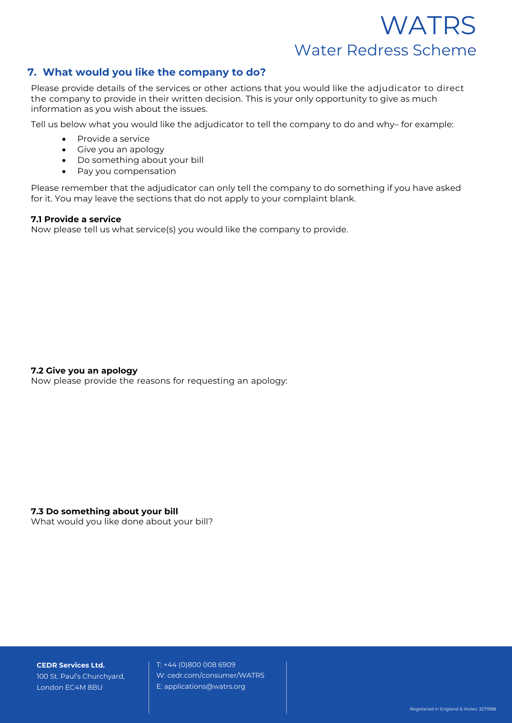### **7. What would you like the company to do?**

Please provide details of the services or other actions that you would like the adjudicator to direct the company to provide in their written decision. This is your only opportunity to give as much information as you wish about the issues.

Tell us below what you would like the adjudicator to tell the company to do and why– for example:

- Provide a service
- Give you an apology
- Do something about your bill
- Pay you compensation

Please remember that the adjudicator can only tell the company to do something if you have asked for it. You may leave the sections that do not apply to your complaint blank.

#### **7.1 Provide a service**

Now please tell us what service(s) you would like the company to provide.

#### **7.2 Give you an apology**

Now please provide the reasons for requesting an apology:

#### **7.3 Do something about your bill**

What would you like done about your bill?

#### **CEDR Services Ltd.**

100 St. Paul's Churchyard, London EC4M 8BU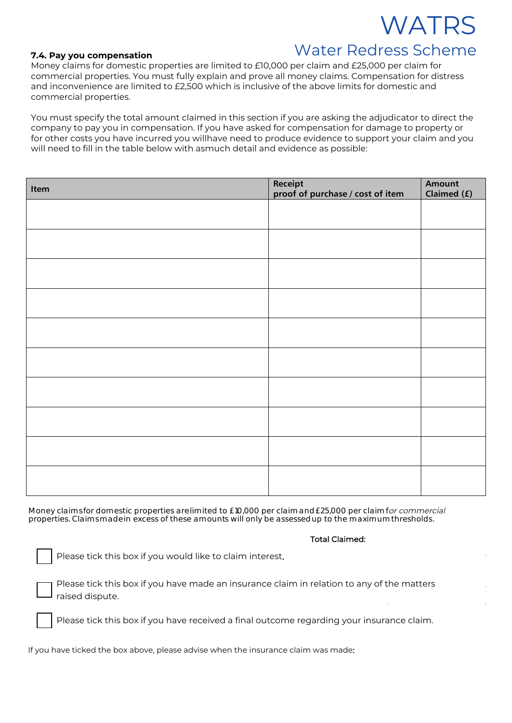# WATRS

Water Redress Scheme

#### **7.4. Pay you compensation**

Money claims for domestic properties are limited to £10,000 per claim and £25,000 per claim for commercial properties. You must fully explain and prove all money claims. Compensation for distress and inconvenience are limited to £2,500 which is inclusive of the above limits for domestic and commercial properties.

You must specify the total amount claimed in this section if you are asking the adjudicator to direct the company to pay you in compensation. If you have asked for compensation for damage to property or for other costs you have incurred you willhave need to produce evidence to support your claim and you will need to fill in the table below with asmuch detail and evidence as possible:

| Item | Receipt<br>proof of purchase / cost of item | <b>Amount</b><br>Claimed (f) |
|------|---------------------------------------------|------------------------------|
|      |                                             |                              |
|      |                                             |                              |
|      |                                             |                              |
|      |                                             |                              |
|      |                                             |                              |
|      |                                             |                              |
|      |                                             |                              |
|      |                                             |                              |
|      |                                             |                              |
|      |                                             |                              |
|      |                                             |                              |

*Money claims for domestic properties are limited to £10,000 per claim and £25,000 per claim for commercial properties. Claims made in excess of these amounts will only be assessed up to the maximum thresholds.*

#### Total Claimed:

Please tick this box if you would like to claim interest.

Please tick this box if you have made an insurance claim in relation to any of the matters raised dispute.

Please tick this box if you have received a final outcome regarding your insurance claim.

If you have ticked the box above, please advise when the insurance claim was made: